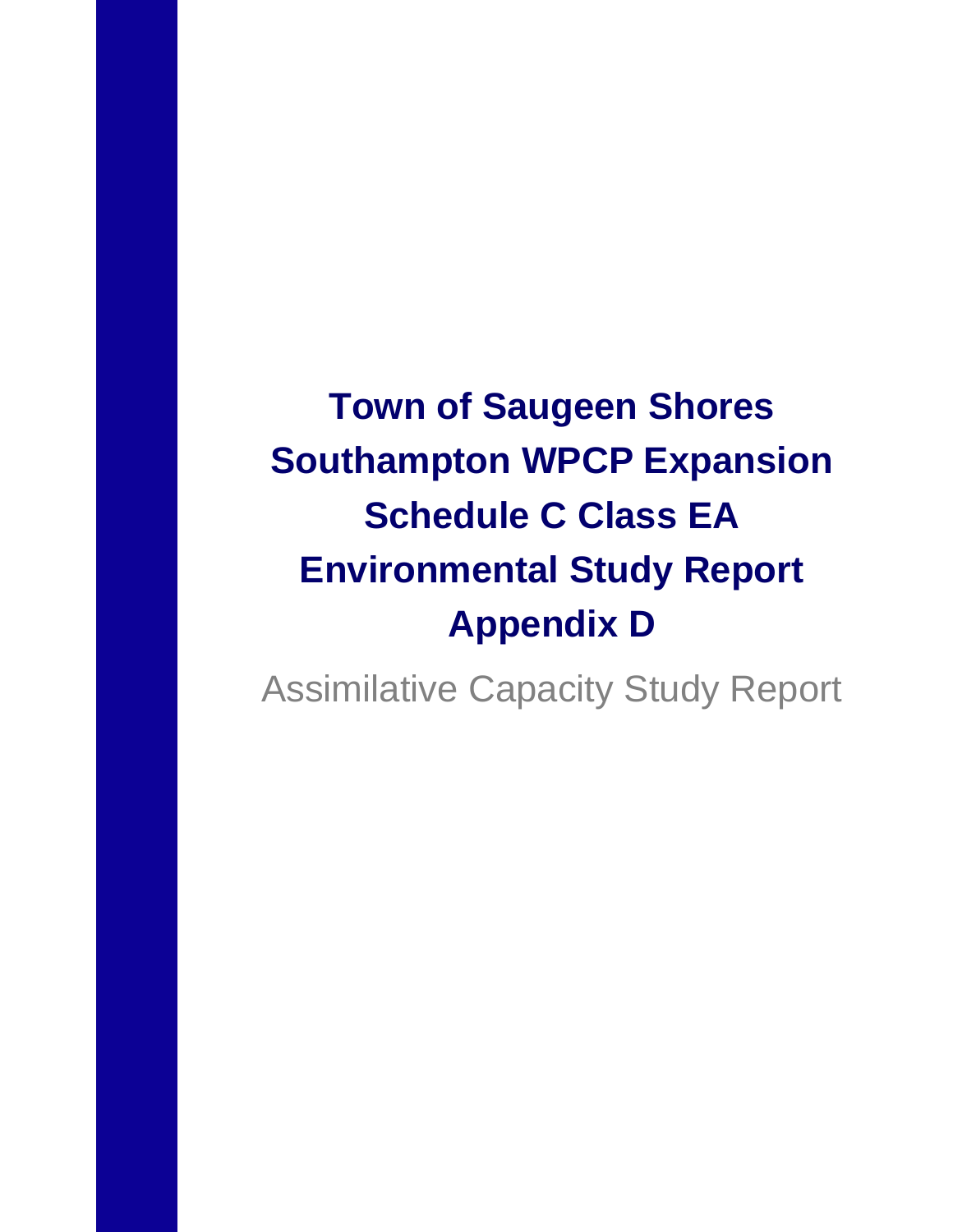**Town of Saugeen Shores Southampton WPCP Expansion Schedule C Class EA Environmental Study Report Appendix D**

Assimilative Capacity Study Report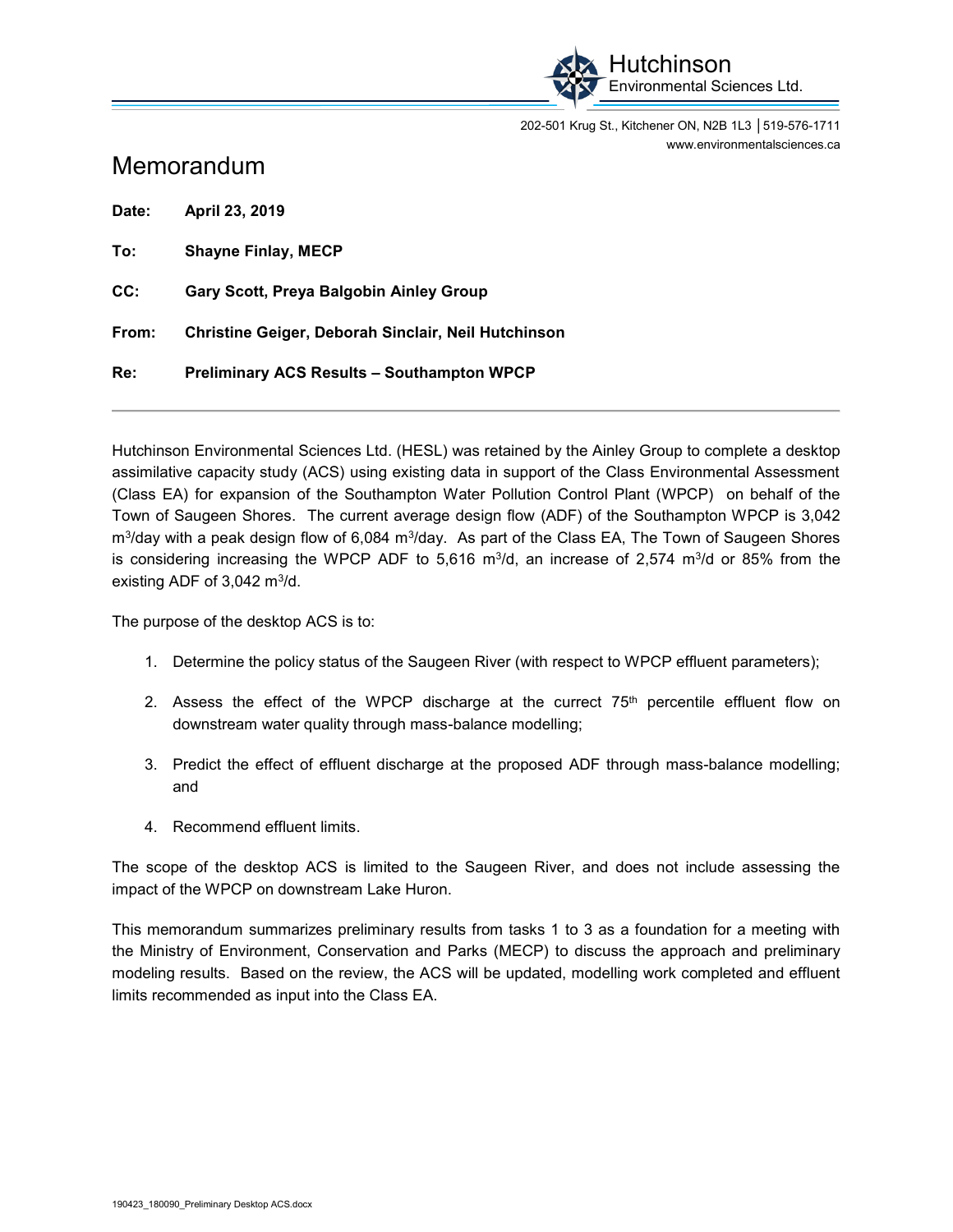

202-501 Krug St., Kitchener ON, N2B 1L3 │519-576-1711 [www.environmentalsciences.ca](http://www.environmentalsciences.ca) 

### Memorandum

**Date: April 23, 2019 To: Shayne Finlay, MECP CC: Gary Scott, Preya Balgobin Ainley Group** 

**From: Christine Geiger, Deborah Sinclair, Neil Hutchinson** 

**Re: Preliminary ACS Results – Southampton WPCP** 

Hutchinson Environmental Sciences Ltd. (HESL) was retained by the Ainley Group to complete a desktop assimilative capacity study (ACS) using existing data in support of the Class Environmental Assessment (Class EA) for expansion of the Southampton Water Pollution Control Plant (WPCP) on behalf of the Town of Saugeen Shores. The current average design flow (ADF) of the Southampton WPCP is 3,042  $\rm m^3$ /day with a peak design flow of 6,084  $\rm m^3$ /day. As part of the Class EA, The Town of Saugeen Shores is considering increasing the WPCP ADF to 5,616 m $\frac{3}{d}$ , an increase of 2,574 m $\frac{3}{d}$  or 85% from the existing ADF of  $3,042 \text{ m}^3/\text{d}$ .

The purpose of the desktop ACS is to:

- 1. Determine the policy status of the Saugeen River (with respect to WPCP effluent parameters);
- 2. Assess the effect of the WPCP discharge at the currect  $75<sup>th</sup>$  percentile effluent flow on downstream water quality through mass-balance modelling;
- 3. Predict the effect of effluent discharge at the proposed ADF through mass-balance modelling; and
- 4. Recommend effluent limits.

The scope of the desktop ACS is limited to the Saugeen River, and does not include assessing the impact of the WPCP on downstream Lake Huron.

This memorandum summarizes preliminary results from tasks 1 to 3 as a foundation for a meeting with the Ministry of Environment, Conservation and Parks (MECP) to discuss the approach and preliminary modeling results. Based on the review, the ACS will be updated, modelling work completed and effluent limits recommended as input into the Class EA.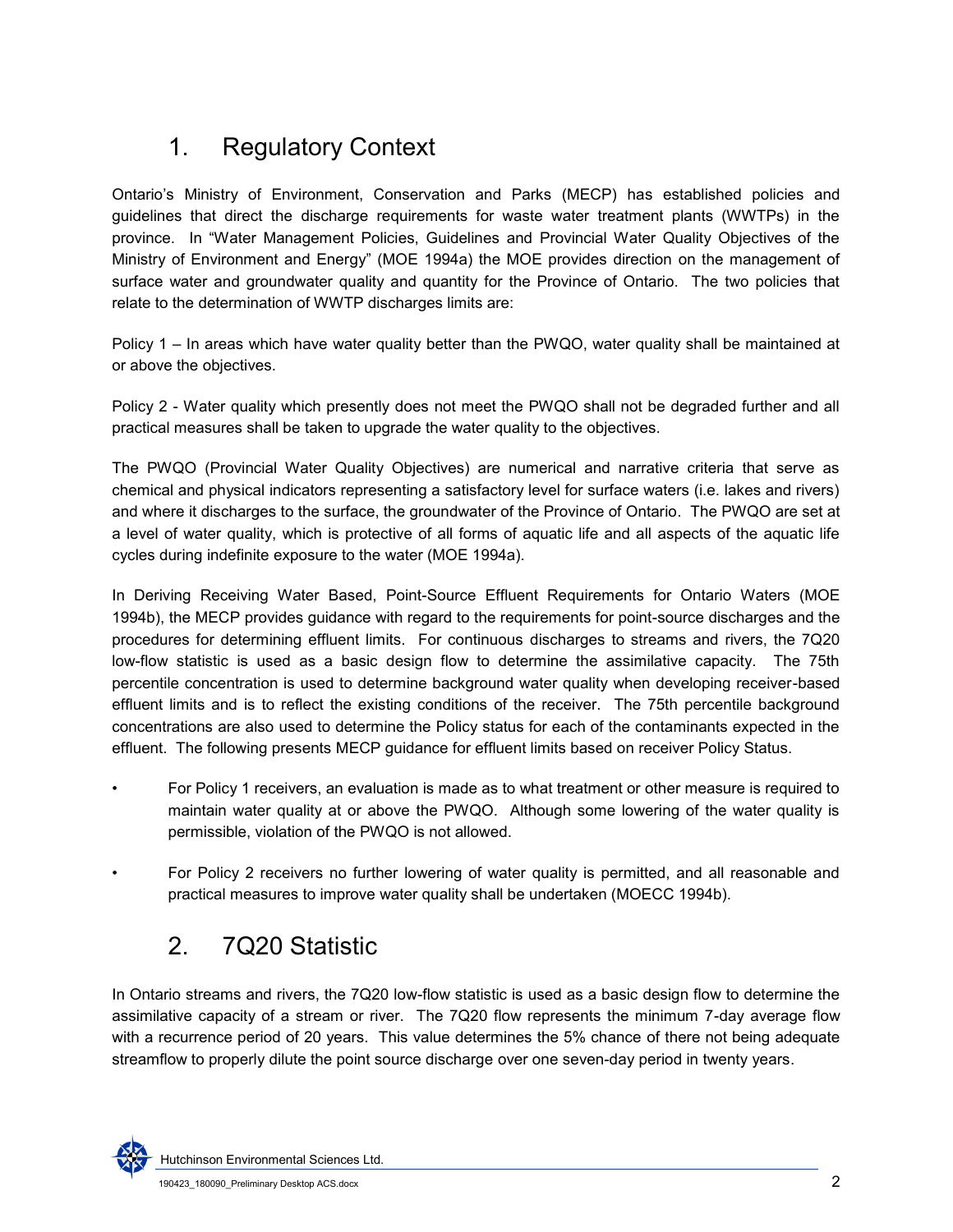# 1. Regulatory Context

Ontario's Ministry of Environment, Conservation and Parks (MECP) has established policies and guidelines that direct the discharge requirements for waste water treatment plants (WWTPs) in the province. In "Water Management Policies, Guidelines and Provincial Water Quality Objectives of the Ministry of Environment and Energy" (MOE 1994a) the MOE provides direction on the management of surface water and groundwater quality and quantity for the Province of Ontario. The two policies that relate to the determination of WWTP discharges limits are:

Policy 1 – In areas which have water quality better than the PWQO, water quality shall be maintained at or above the objectives.

Policy 2 - Water quality which presently does not meet the PWQO shall not be degraded further and all practical measures shall be taken to upgrade the water quality to the objectives.

The PWQO (Provincial Water Quality Objectives) are numerical and narrative criteria that serve as chemical and physical indicators representing a satisfactory level for surface waters (i.e. lakes and rivers) and where it discharges to the surface, the groundwater of the Province of Ontario. The PWQO are set at a level of water quality, which is protective of all forms of aquatic life and all aspects of the aquatic life cycles during indefinite exposure to the water (MOE 1994a).

<span id="page-2-0"></span>In Deriving Receiving Water Based, Point-Source Effluent Requirements for Ontario Waters (MOE 1994b), the MECP provides guidance with regard to the requirements for point-source discharges and the procedures for determining effluent limits. For continuous discharges to streams and rivers, the 7Q20 low-flow statistic is used as a basic design flow to determine the assimilative capacity. The 75th percentile concentration is used to determine background water quality when developing receiver-based effluent limits and is to reflect the existing conditions of the receiver. The 75th percentile background concentrations are also used to determine the Policy status for each of the contaminants expected in the effluent. The following presents MECP guidance for effluent limits based on receiver Policy Status.

- For Policy 1 receivers, an evaluation is made as to what treatment or other measure is required to maintain water quality at or above the PWQO. Although some lowering of the water quality is permissible, violation of the PWQO is not allowed.
- For Policy 2 receivers no further lowering of water quality is permitted, and all reasonable and practical measures to improve water quality shall be undertaken (MOECC 1994b).

## 2. 7Q20 Statistic

In Ontario streams and rivers, the 7Q20 low-flow statistic is used as a basic design flow to determine the assimilative capacity of a stream or river. The 7Q20 flow represents the minimum 7-day average flow with a recurrence period of 20 years. This value determines the 5% chance of there not being adequate streamflow to properly dilute the point source discharge over one seven-day period in twenty years.

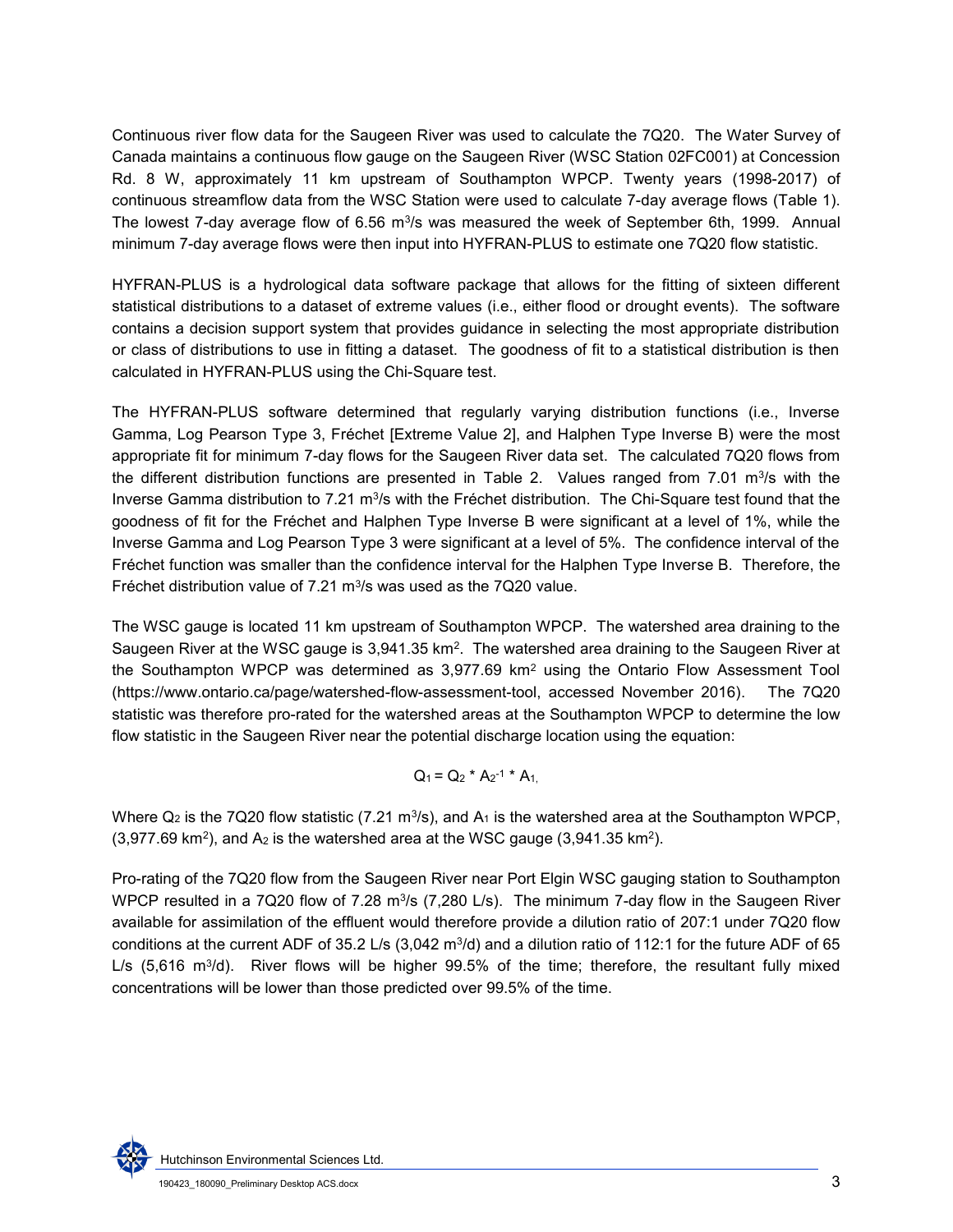Continuous river flow data for the Saugeen River was used to calculate the 7Q20. The Water Survey of Canada maintains a continuous flow gauge on the Saugeen River (WSC Station 02FC001) at Concession Rd. 8 W, approximately 11 km upstream of Southampton WPCP. Twenty years (1998-2017) of continuous streamflow data from the WSC Station were used to calculate 7-day average flows [\(Table 1\)](#page-4-0). The lowest 7-day average flow of 6.56 m $\mathrm{^{3}/s}$  was measured the week of September 6th, 1999.  $\,$  Annual minimum 7-day average flows were then input into HYFRAN-PLUS to estimate one 7Q20 flow statistic.

HYFRAN-PLUS is a hydrological data software package that allows for the fitting of sixteen different statistical distributions to a dataset of extreme values (i.e., either flood or drought events). The software contains a decision support system that provides guidance in selecting the most appropriate distribution or class of distributions to use in fitting a dataset. The goodness of fit to a statistical distribution is then calculated in HYFRAN-PLUS using the Chi-Square test.

The HYFRAN-PLUS software determined that regularly varying distribution functions (i.e., Inverse Gamma, Log Pearson Type 3, Fréchet [Extreme Value 2], and Halphen Type Inverse B) were the most appropriate fit for minimum 7-day flows for the Saugeen River data set. The calculated 7Q20 flows from the different distribution functions are presented in [Table 2.](#page-4-1) Values ranged from 7.01 m<sup>3</sup>/s with the Inverse Gamma distribution to 7.21 m $3/$ s with the Fréchet distribution. The Chi-Square test found that the goodness of fit for the Fréchet and Halphen Type Inverse B were significant at a level of 1%, while the Inverse Gamma and Log Pearson Type 3 were significant at a level of 5%. The confidence interval of the Fréchet function was smaller than the confidence interval for the Halphen Type Inverse B. Therefore, the Fréchet distribution value of 7.21  $m^3/s$  was used as the 7Q20 value.

The WSC gauge is located 11 km upstream of Southampton WPCP. The watershed area draining to the Saugeen River at the WSC gauge is 3,941.35 km $^2$ . The watershed area draining to the Saugeen River at the Southampton WPCP was determined as  $3,977.69$  km<sup>2</sup> using the Ontario Flow Assessment Tool [\(https://www.ontario.ca/page/watershed-flow-assessment-tool,](https://www.ontario.ca/page/watershed-flow-assessment-tool) accessed November 2016). The 7Q20 statistic was therefore pro-rated for the watershed areas at the Southampton WPCP to determine the low flow statistic in the Saugeen River near the potential discharge location using the equation:

$$
Q_1 = Q_2 * A_2^{-1} * A_1
$$

Where Q $_2$  is the 7Q20 flow statistic (7.21 m $^3$ /s), and A $_1$  is the watershed area at the Southampton WPCP,  $(3,977.69 \text{ km}^2)$ , and A<sub>2</sub> is the watershed area at the WSC gauge  $(3,941.35 \text{ km}^2)$ .

Pro-rating of the 7Q20 flow from the Saugeen River near Port Elgin WSC gauging station to Southampton WPCP resulted in a 7Q20 flow of 7.28 m $^3$ /s (7,280 L/s). The minimum 7-day flow in the Saugeen River available for assimilation of the effluent would therefore provide a dilution ratio of 207:1 under 7Q20 flow conditions at the current ADF of 35.2 L/s (3,042 m $\frac{3}{d}$ ) and a dilution ratio of 112:1 for the future ADF of 65 L/s (5,616 m<sup>3</sup>/d). River flows will be higher 99.5% of the time; therefore, the resultant fully mixed concentrations will be lower than those predicted over 99.5% of the time.

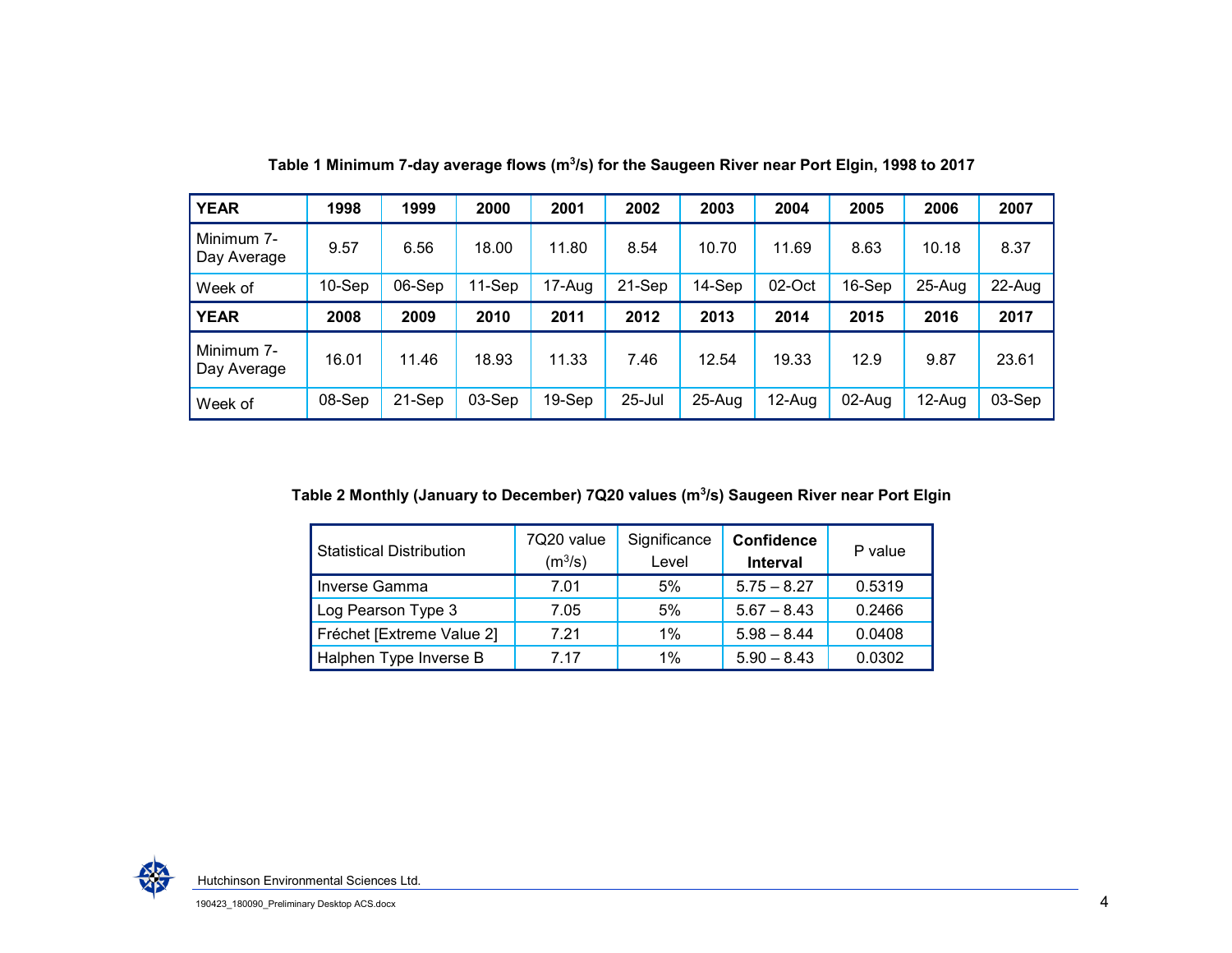| <b>YEAR</b>               | 1998      | 1999   | 2000     | 2001   | 2002   | 2003       | 2004   | 2005     | 2006     | 2007   |
|---------------------------|-----------|--------|----------|--------|--------|------------|--------|----------|----------|--------|
| Minimum 7-<br>Day Average | 9.57      | 6.56   | 18.00    | 11.80  | 8.54   | 10.70      | 11.69  | 8.63     | 10.18    | 8.37   |
| Week of                   | $10-$ Sep | 06-Sep | 11-Sep   | 17-Aug | 21-Sep | 14-Sep     | 02-Oct | $16-Sep$ | $25-Auq$ | 22-Aug |
| <b>YEAR</b>               | 2008      | 2009   | 2010     | 2011   | 2012   | 2013       | 2014   | 2015     | 2016     | 2017   |
| Minimum 7-<br>Day Average | 16.01     | 11.46  | 18.93    | 11.33  | 7.46   | 12.54      | 19.33  | 12.9     | 9.87     | 23.61  |
| Week of                   | 08-Sep    | 21-Sep | $03-Sep$ | 19-Sep | 25-Jul | $25 - Aug$ | 12-Aug | 02-Aug   | 12-Aug   | 03-Sep |

Table 1 Minimum 7-day average flows (m<sup>3</sup>/s) for the Saugeen River near Port Elgin, 1998 to 2017

<span id="page-4-0"></span>**Table 2 Monthly (January to December) 7Q20 values (m<sup>3</sup> /s) Saugeen River near Port Elgin** 

<span id="page-4-1"></span>

| <b>Statistical Distribution</b> | 7Q20 value<br>(m <sup>3</sup> /s) | Significance<br>Level | <b>Confidence</b><br><b>Interval</b> | P value |  |  |
|---------------------------------|-----------------------------------|-----------------------|--------------------------------------|---------|--|--|
| Inverse Gamma                   | 7.01                              | 5%                    | $5.75 - 8.27$                        | 0.5319  |  |  |
| Log Pearson Type 3              | 7.05                              | 5%                    | $5.67 - 8.43$                        | 0.2466  |  |  |
| Fréchet [Extreme Value 2]       | 7.21                              | $1\%$                 | $5.98 - 8.44$                        | 0.0408  |  |  |
| Halphen Type Inverse B          | 7 17                              | $1\%$                 | $5.90 - 8.43$                        | 0.0302  |  |  |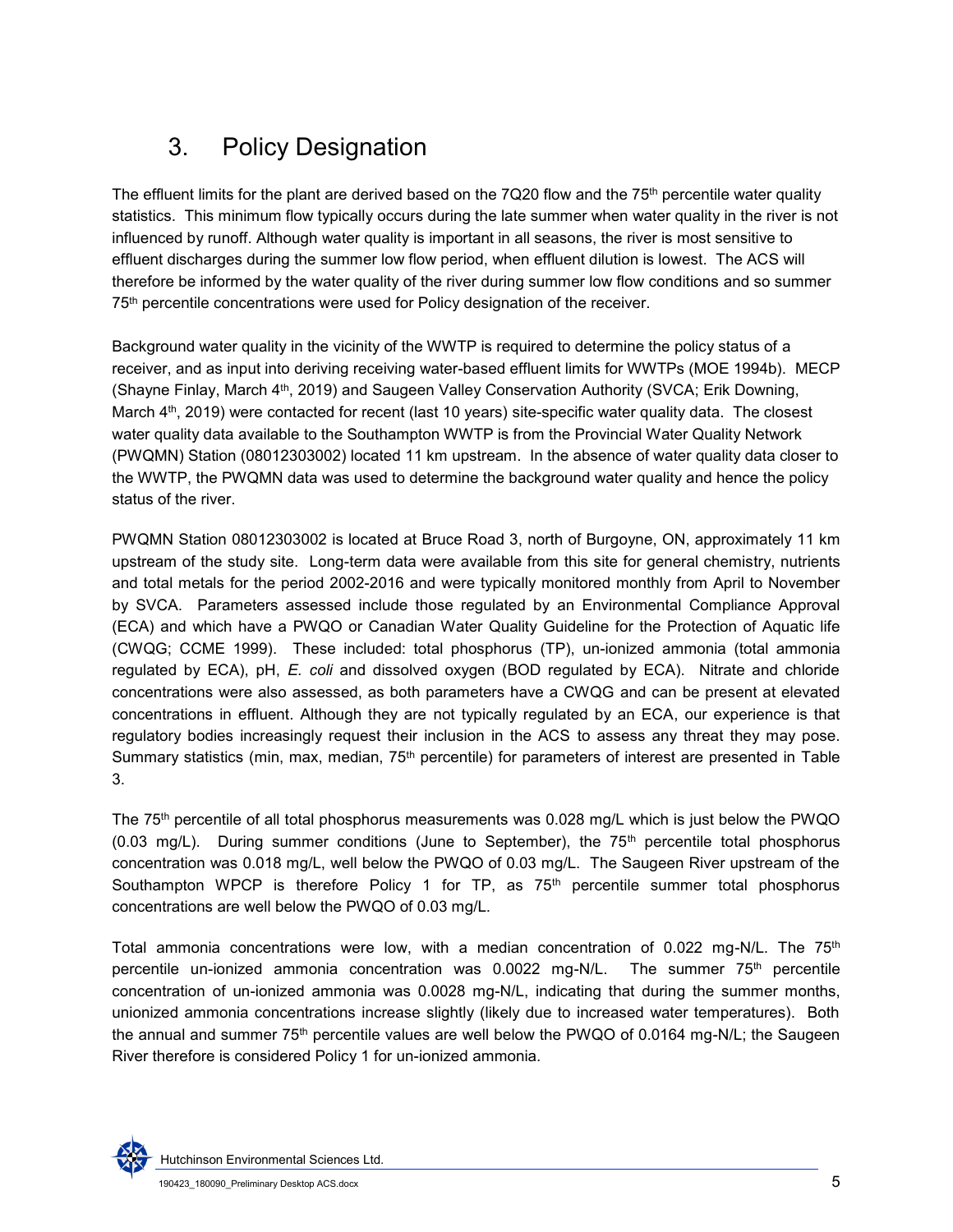# 3. Policy Designation

The effluent limits for the plant are derived based on the 7Q20 flow and the  $75<sup>th</sup>$  percentile water quality statistics. This minimum flow typically occurs during the late summer when water quality in the river is not influenced by runoff. Although water quality is important in all seasons, the river is most sensitive to effluent discharges during the summer low flow period, when effluent dilution is lowest. The ACS will therefore be informed by the water quality of the river during summer low flow conditions and so summer 75th percentile concentrations were used for Policy designation of the receiver.

Background water quality in the vicinity of the WWTP is required to determine the policy status of a receiver, and as input into deriving receiving water-based effluent limits for WWTPs (MOE 1994b). MECP (Shayne Finlay, March 4th, 2019) and Saugeen Valley Conservation Authority (SVCA; Erik Downing, March 4<sup>th</sup>, 2019) were contacted for recent (last 10 years) site-specific water quality data. The closest water quality data available to the Southampton WWTP is from the Provincial Water Quality Network (PWQMN) Station (08012303002) located 11 km upstream. In the absence of water quality data closer to the WWTP, the PWQMN data was used to determine the background water quality and hence the policy status of the river.

PWQMN Station 08012303002 is located at Bruce Road 3, north of Burgoyne, ON, approximately 11 km upstream of the study site. Long-term data were available from this site for general chemistry, nutrients and total metals for the period 2002-2016 and were typically monitored monthly from April to November by SVCA. Parameters assessed include those regulated by an Environmental Compliance Approval (ECA) and which have a PWQO or Canadian Water Quality Guideline for the Protection of Aquatic life (CWQG; CCME 1999). These included: total phosphorus (TP), un-ionized ammonia (total ammonia regulated by ECA), pH, *E. coli* and dissolved oxygen (BOD regulated by ECA). Nitrate and chloride concentrations were also assessed, as both parameters have a CWQG and can be present at elevated concentrations in effluent. Although they are not typically regulated by an ECA, our experience is that regulatory bodies increasingly request their inclusion in the ACS to assess any threat they may pose. Summary statistics (min, max, median, 75<sup>th</sup> percentile) for parameters of interest are presented in Table [3.](#page-6-0)

The 75th percentile of all total phosphorus measurements was 0.028 mg/L which is just below the PWQO  $(0.03 \text{ ma/L})$ . During summer conditions (June to September), the  $75<sup>th</sup>$  percentile total phosphorus concentration was 0.018 mg/L, well below the PWQO of 0.03 mg/L. The Saugeen River upstream of the Southampton WPCP is therefore Policy 1 for TP, as  $75<sup>th</sup>$  percentile summer total phosphorus concentrations are well below the PWQO of 0.03 mg/L.

Total ammonia concentrations were low, with a median concentration of  $0.022 \text{ mg-N/L}$ . The  $75^{\text{th}}$ percentile un-ionized ammonia concentration was  $0.0022$  mg-N/L. The summer  $75<sup>th</sup>$  percentile concentration of un-ionized ammonia was 0.0028 mg-N/L, indicating that during the summer months, unionized ammonia concentrations increase slightly (likely due to increased water temperatures). Both the annual and summer 75<sup>th</sup> percentile values are well below the PWQO of 0.0164 mg-N/L; the Saugeen River therefore is considered Policy 1 for un-ionized ammonia.

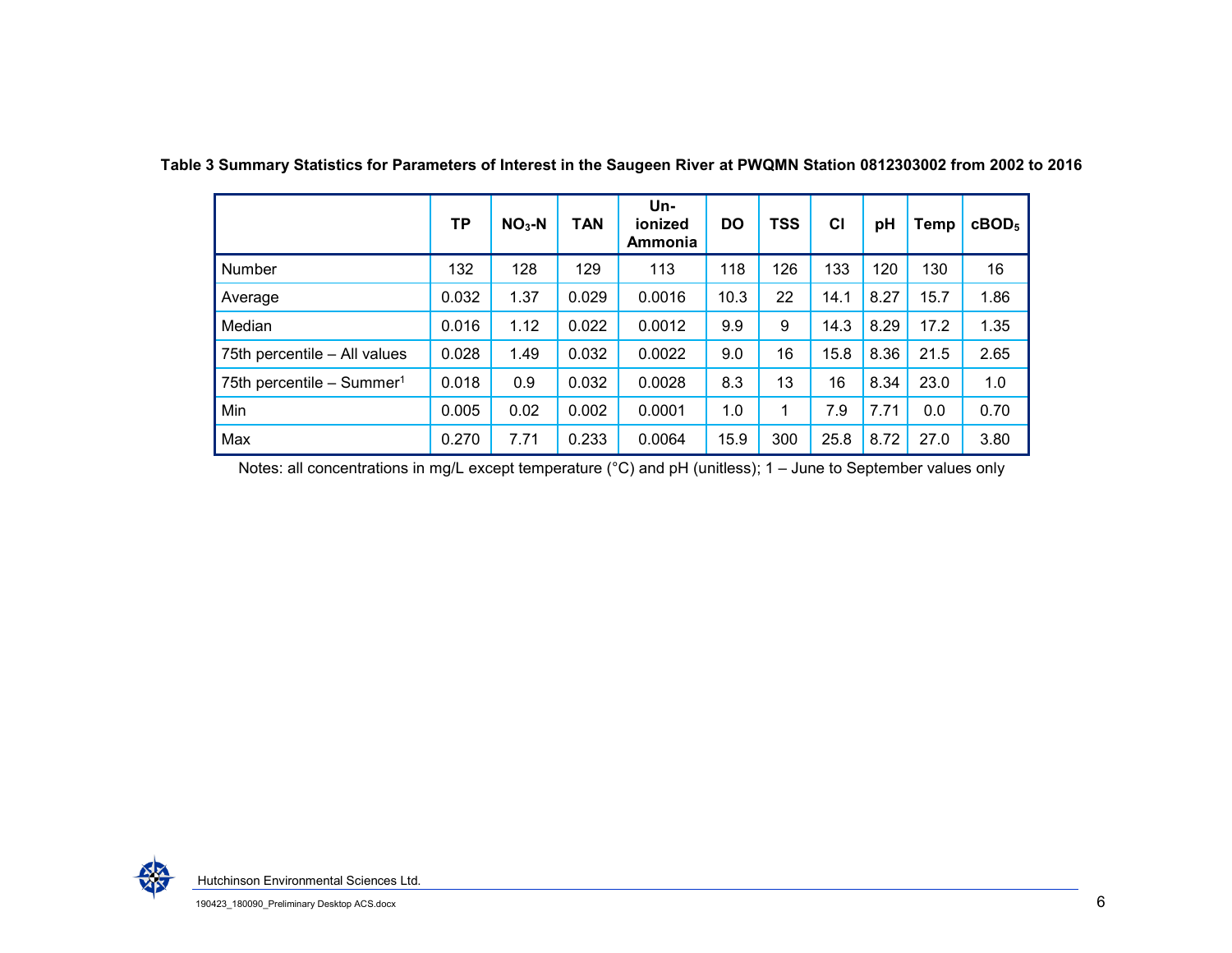|                                       | TР    | $NO3 - N$ | <b>TAN</b> | Un-<br>ionized<br>Ammonia | DO   | <b>TSS</b> | CI   | pH   | Temp | $c\text{BOD}_5$ |
|---------------------------------------|-------|-----------|------------|---------------------------|------|------------|------|------|------|-----------------|
| Number                                | 132   | 128       | 129        | 113                       | 118  | 126        | 133  | 120  | 130  | 16              |
| Average                               | 0.032 | 1.37      | 0.029      | 0.0016                    | 10.3 | 22         | 14.1 | 8.27 | 15.7 | 1.86            |
| Median                                | 0.016 | 1.12      | 0.022      | 0.0012                    | 9.9  | 9          | 14.3 | 8.29 | 17.2 | 1.35            |
| 75th percentile - All values          | 0.028 | 1.49      | 0.032      | 0.0022                    | 9.0  | 16         | 15.8 | 8.36 | 21.5 | 2.65            |
| 75th percentile - Summer <sup>1</sup> | 0.018 | 0.9       | 0.032      | 0.0028                    | 8.3  | 13         | 16   | 8.34 | 23.0 | 1.0             |
| Min                                   | 0.005 | 0.02      | 0.002      | 0.0001                    | 1.0  |            | 7.9  | 7.71 | 0.0  | 0.70            |
| Max                                   | 0.270 | 7.71      | 0.233      | 0.0064                    | 15.9 | 300        | 25.8 | 8.72 | 27.0 | 3.80            |

**Table 3 Summary Statistics for Parameters of Interest in the Saugeen River at PWQMN Station 0812303002 from 2002 to 2016** 

<span id="page-6-0"></span>Notes: all concentrations in mg/L except temperature (°C) and pH (unitless); 1 – June to September values only

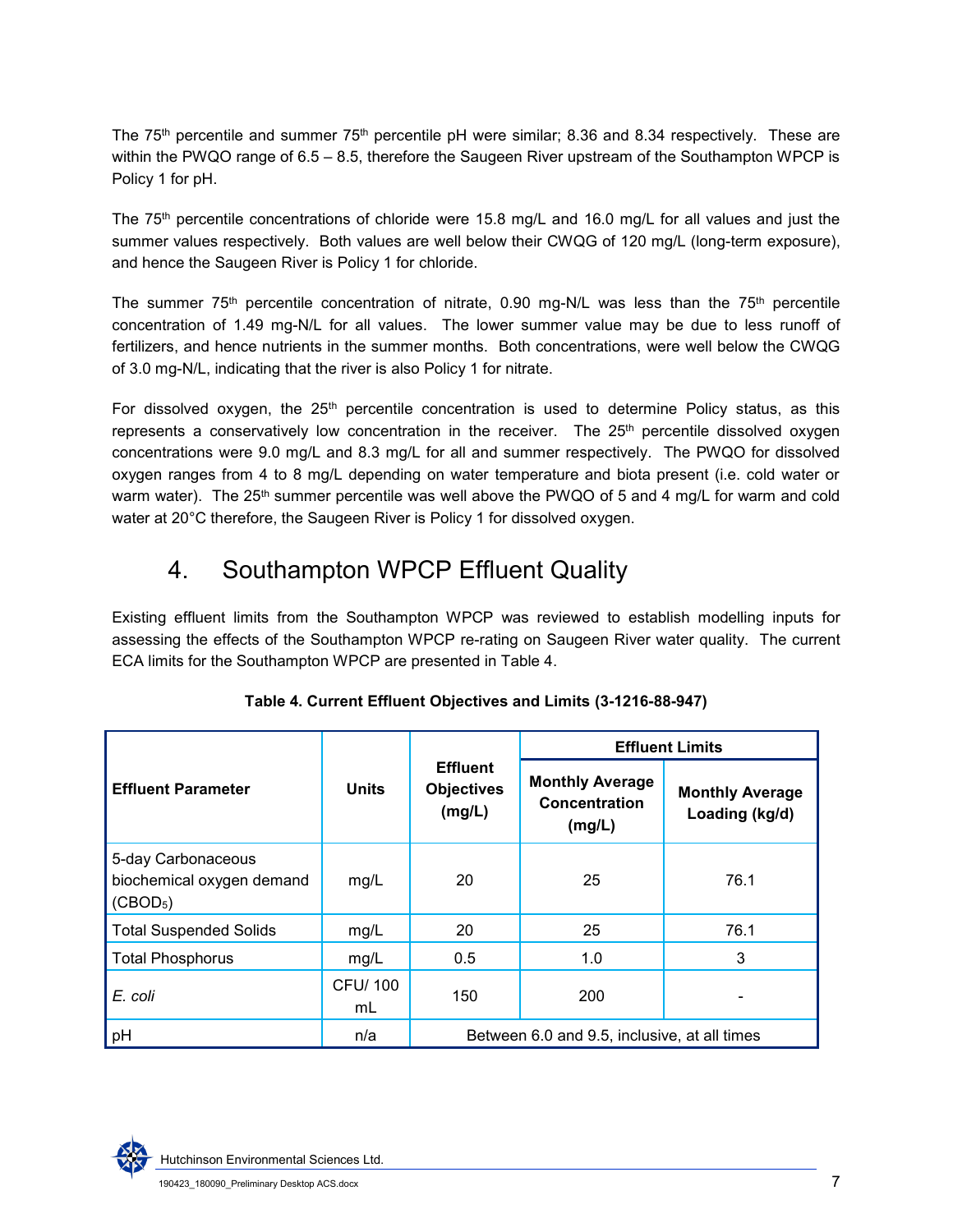The  $75<sup>th</sup>$  percentile and summer  $75<sup>th</sup>$  percentile pH were similar; 8.36 and 8.34 respectively. These are within the PWQO range of 6.5 – 8.5, therefore the Saugeen River upstream of the Southampton WPCP is Policy 1 for pH.

The 75th percentile concentrations of chloride were 15.8 mg/L and 16.0 mg/L for all values and just the summer values respectively. Both values are well below their CWQG of 120 mg/L (long-term exposure), and hence the Saugeen River is Policy 1 for chloride.

The summer  $75<sup>th</sup>$  percentile concentration of nitrate, 0.90 mg-N/L was less than the  $75<sup>th</sup>$  percentile concentration of 1.49 mg-N/L for all values. The lower summer value may be due to less runoff of fertilizers, and hence nutrients in the summer months. Both concentrations, were well below the CWQG of 3.0 mg-N/L, indicating that the river is also Policy 1 for nitrate.

For dissolved oxygen, the  $25<sup>th</sup>$  percentile concentration is used to determine Policy status, as this represents a conservatively low concentration in the receiver. The 25<sup>th</sup> percentile dissolved oxygen concentrations were 9.0 mg/L and 8.3 mg/L for all and summer respectively. The PWQO for dissolved oxygen ranges from 4 to 8 mg/L depending on water temperature and biota present (i.e. cold water or warm water). The 25<sup>th</sup> summer percentile was well above the PWQO of 5 and 4 mg/L for warm and cold water at 20°C therefore, the Saugeen River is Policy 1 for dissolved oxygen.

## 4. Southampton WPCP Effluent Quality

Existing effluent limits from the Southampton WPCP was reviewed to establish modelling inputs for assessing the effects of the Southampton WPCP re-rating on Saugeen River water quality. The current ECA limits for the Southampton WPCP are presented in [Table 4.](#page-7-0)

<span id="page-7-0"></span>

|                                                                         |              |                                                | <b>Effluent Limits</b>                            |                                          |  |  |  |
|-------------------------------------------------------------------------|--------------|------------------------------------------------|---------------------------------------------------|------------------------------------------|--|--|--|
| <b>Effluent Parameter</b>                                               | <b>Units</b> | <b>Effluent</b><br><b>Objectives</b><br>(mg/L) | <b>Monthly Average</b><br>Concentration<br>(mg/L) | <b>Monthly Average</b><br>Loading (kg/d) |  |  |  |
| 5-day Carbonaceous<br>biochemical oxygen demand<br>(CBOD <sub>5</sub> ) | mg/L         | 20                                             | 25                                                | 76.1                                     |  |  |  |
| <b>Total Suspended Solids</b>                                           | mg/L         | 20                                             | 25                                                | 76.1                                     |  |  |  |
| <b>Total Phosphorus</b>                                                 | mg/L         | 0.5                                            | 1.0                                               | 3                                        |  |  |  |
| <b>CFU/100</b><br>E. coli<br>mL                                         |              | 150                                            | 200                                               |                                          |  |  |  |
| pH                                                                      | n/a          |                                                | Between 6.0 and 9.5, inclusive, at all times      |                                          |  |  |  |

#### **Table 4. Current Effluent Objectives and Limits (3-1216-88-947)**

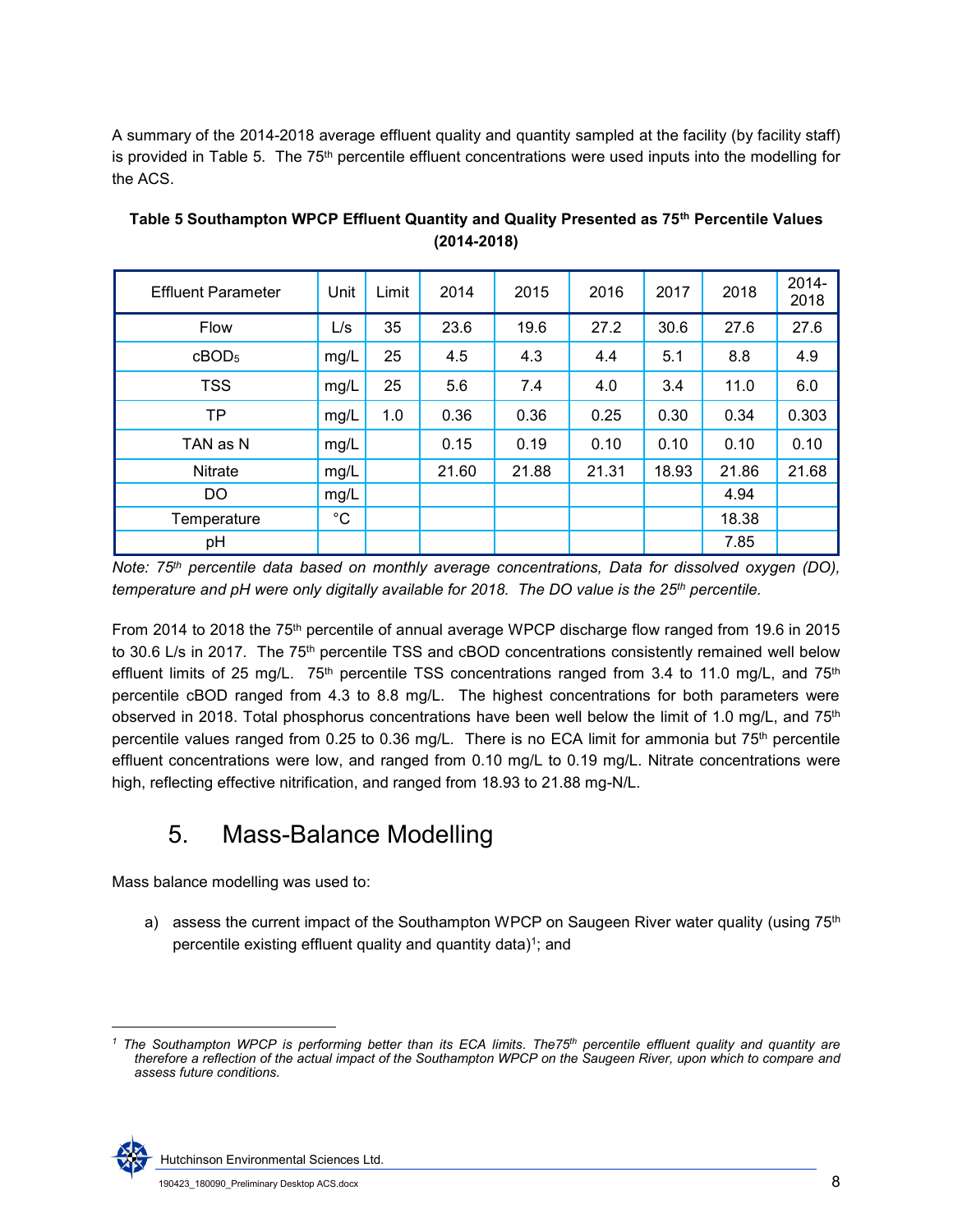A summary of the 2014-2018 average effluent quality and quantity sampled at the facility (by facility staff) is provided in Table 5. The 75<sup>th</sup> percentile effluent concentrations were used inputs into the modelling for the ACS.

| <b>Effluent Parameter</b> | Unit            | Limit | 2014  | 2015  | 2016  | 2017  | 2018  | 2014-<br>2018 |
|---------------------------|-----------------|-------|-------|-------|-------|-------|-------|---------------|
| <b>Flow</b>               | L/s             | 35    | 23.6  | 19.6  | 27.2  | 30.6  | 27.6  | 27.6          |
| cBOD <sub>5</sub>         | mg/L            | 25    | 4.5   | 4.3   | 4.4   | 5.1   | 8.8   | 4.9           |
| <b>TSS</b>                | ' mg/L          | 25    | 5.6   | 7.4   | 4.0   | 3.4   | 11.0  | 6.0           |
| <b>TP</b>                 | mg/L            | 1.0   | 0.36  | 0.36  | 0.25  | 0.30  | 0.34  | 0.303         |
| TAN as N                  | mg/L            |       | 0.15  | 0.19  | 0.10  | 0.10  | 0.10  | 0.10          |
| Nitrate                   | mg/L,           |       | 21.60 | 21.88 | 21.31 | 18.93 | 21.86 | 21.68         |
| DO                        | $\mathsf{mg/L}$ |       |       |       |       |       | 4.94  |               |
| Temperature               | $^{\circ}C$     |       |       |       |       |       | 18.38 |               |
| pH                        |                 |       |       |       |       |       | 7.85  |               |

**Table 5 Southampton WPCP Effluent Quantity and Quality Presented as 75th Percentile Values (2014-2018)** 

*Note: 75th percentile data based on monthly average concentrations, Data for dissolved oxygen (DO), temperature and pH were only digitally available for 2018. The DO value is the 25th percentile.* 

From 2014 to 2018 the 75th percentile of annual average WPCP discharge flow ranged from 19.6 in 2015 to 30.6 L/s in 2017. The 75<sup>th</sup> percentile TSS and cBOD concentrations consistently remained well below effluent limits of 25 mg/L.  $75<sup>th</sup>$  percentile TSS concentrations ranged from 3.4 to 11.0 mg/L, and  $75<sup>th</sup>$ percentile cBOD ranged from 4.3 to 8.8 mg/L. The highest concentrations for both parameters were observed in 2018. Total phosphorus concentrations have been well below the limit of 1.0 mg/L, and  $75<sup>th</sup>$ percentile values ranged from 0.25 to 0.36 mg/L. There is no ECA limit for ammonia but 75<sup>th</sup> percentile effluent concentrations were low, and ranged from 0.10 mg/L to 0.19 mg/L. Nitrate concentrations were high, reflecting effective nitrification, and ranged from 18.93 to 21.88 mg-N/L.

## 5. Mass-Balance Modelling

Mass balance modelling was used to:

a) assess the current impact of the Southampton WPCP on Saugeen River water quality (using 75<sup>th</sup>) percentile existing effluent quality and quantity data) $^{\rm 1)}$ ; and

 *1 The Southampton WPCP is performing better than its ECA limits. The75th percentile effluent quality and quantity are therefore a reflection of the actual impact of the Southampton WPCP on the Saugeen River, upon which to compare and assess future conditions.* 



Hutchinson Environmental Sciences Ltd.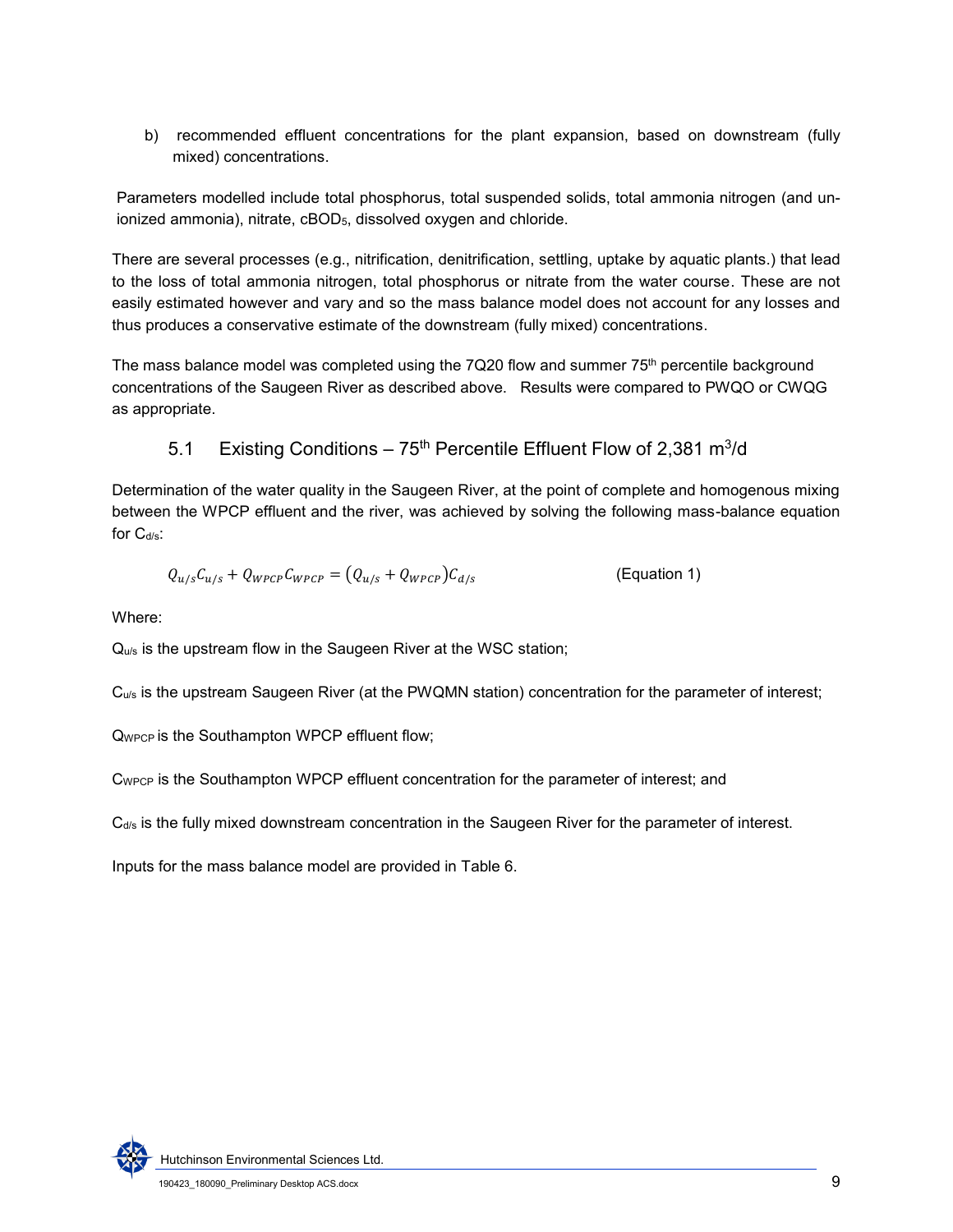b) recommended effluent concentrations for the plant expansion, based on downstream (fully mixed) concentrations.

Parameters modelled include total phosphorus, total suspended solids, total ammonia nitrogen (and unionized ammonia), nitrate, cBOD<sub>5</sub>, dissolved oxygen and chloride.

There are several processes (e.g., nitrification, denitrification, settling, uptake by aquatic plants.) that lead to the loss of total ammonia nitrogen, total phosphorus or nitrate from the water course. These are not easily estimated however and vary and so the mass balance model does not account for any losses and thus produces a conservative estimate of the downstream (fully mixed) concentrations.

The mass balance model was completed using the 7Q20 flow and summer  $75<sup>th</sup>$  percentile background concentrations of the Saugeen River as described above. Results were compared to PWQO or CWQG as appropriate.

5.1 Existing Conditions – 
$$
75th
$$
 Percentile Efficient Flow of 2,381 m<sup>3</sup>/d

Determination of the water quality in the Saugeen River, at the point of complete and homogenous mixing between the WPCP effluent and the river, was achieved by solving the following mass-balance equation for  $C_{d/s}$ :

$$
Q_{u/s}C_{u/s} + Q_{WPCP}C_{WPCP} = (Q_{u/s} + Q_{WPCP})C_{d/s}
$$
 (Equation 1)

Where:

Q<sub>u/s</sub> is the upstream flow in the Saugeen River at the WSC station;

Cu/s is the upstream Saugeen River (at the PWQMN station) concentration for the parameter of interest;

QWPCP is the Southampton WPCP effluent flow;

C<sub>WPCP</sub> is the Southampton WPCP effluent concentration for the parameter of interest; and

 $C<sub>ds</sub>$  is the fully mixed downstream concentration in the Saugeen River for the parameter of interest.

Inputs for the mass balance model are provided in Table 6.

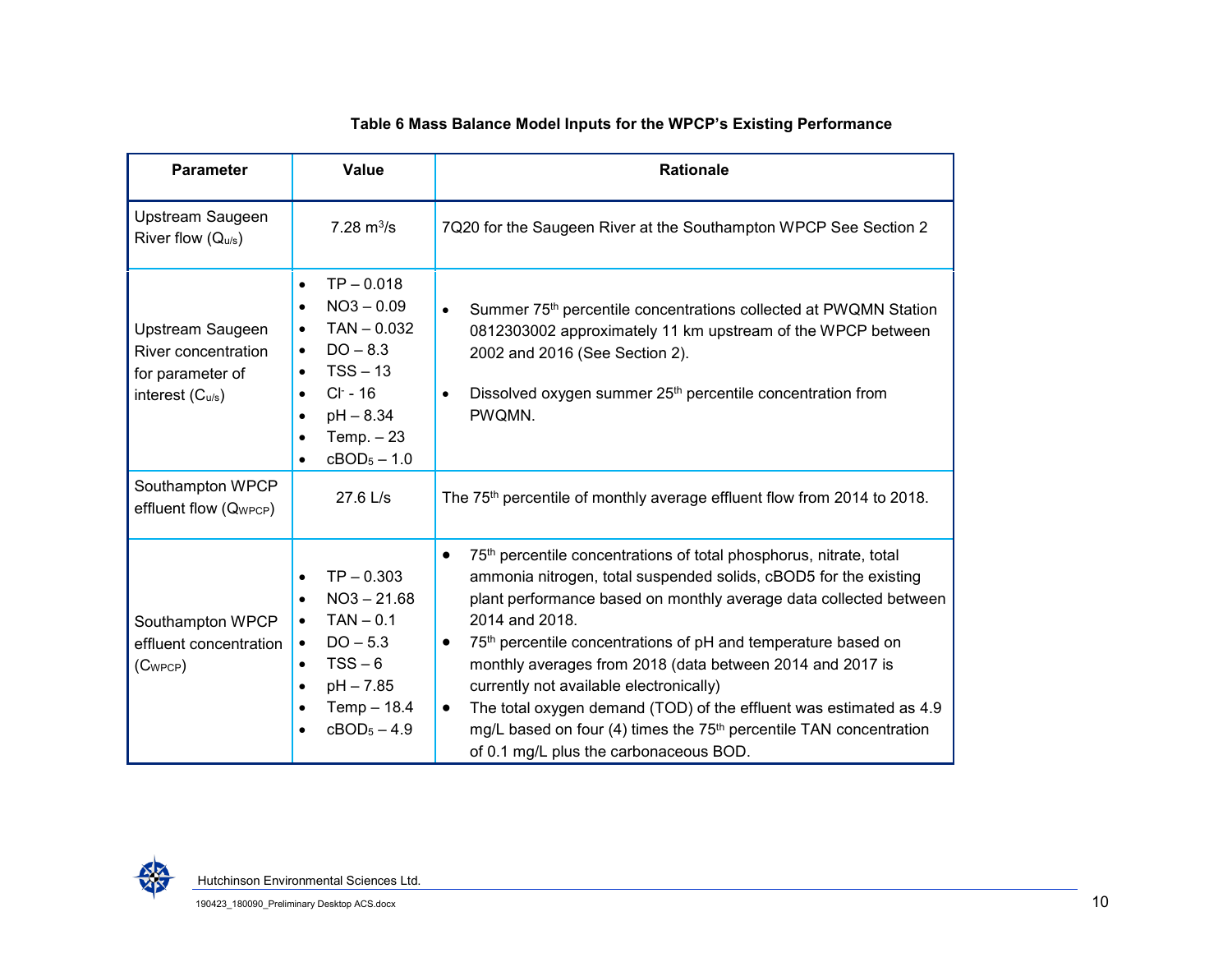#### **Table 6 Mass Balance Model Inputs for the WPCP's Existing Performance**

| <b>Parameter</b>                                                               | Value                                                                                                                                                                                                                                                      | <b>Rationale</b>                                                                                                                                                                                                                                                                                                                                                                                                                                                                                                                                                                                                                                                        |
|--------------------------------------------------------------------------------|------------------------------------------------------------------------------------------------------------------------------------------------------------------------------------------------------------------------------------------------------------|-------------------------------------------------------------------------------------------------------------------------------------------------------------------------------------------------------------------------------------------------------------------------------------------------------------------------------------------------------------------------------------------------------------------------------------------------------------------------------------------------------------------------------------------------------------------------------------------------------------------------------------------------------------------------|
| Upstream Saugeen<br>River flow $(Q_{u/s})$                                     | 7.28 $m^3/s$                                                                                                                                                                                                                                               | 7Q20 for the Saugeen River at the Southampton WPCP See Section 2                                                                                                                                                                                                                                                                                                                                                                                                                                                                                                                                                                                                        |
| Upstream Saugeen<br>River concentration<br>for parameter of<br>interest (Cu/s) | $TP - 0.018$<br>$\bullet$<br>$NO3 - 0.09$<br>$\bullet$<br>$TAN - 0.032$<br>$\bullet$<br>$DO - 8.3$<br>$\bullet$<br>$TSS - 13$<br>$\bullet$<br>$Cl - 16$<br>$\bullet$<br>$pH - 8.34$<br>$\bullet$<br>Temp. $-23$<br>$\bullet$<br>$cBOD5 - 1.0$<br>$\bullet$ | Summer 75 <sup>th</sup> percentile concentrations collected at PWQMN Station<br>$\bullet$<br>0812303002 approximately 11 km upstream of the WPCP between<br>2002 and 2016 (See Section 2).<br>Dissolved oxygen summer 25 <sup>th</sup> percentile concentration from<br>$\bullet$<br>PWQMN.                                                                                                                                                                                                                                                                                                                                                                             |
| Southampton WPCP<br>effluent flow (Q <sub>WPCP</sub> )                         | 27.6 L/s                                                                                                                                                                                                                                                   | The 75 <sup>th</sup> percentile of monthly average effluent flow from 2014 to 2018.                                                                                                                                                                                                                                                                                                                                                                                                                                                                                                                                                                                     |
| Southampton WPCP<br>effluent concentration<br>$(C_{WPCP})$                     | $TP - 0.303$<br>$\bullet$<br>$NO3 - 21.68$<br>$\bullet$<br>$TAN - 0.1$<br>$\bullet$<br>$DO - 5.3$<br>$\bullet$<br>$TSS - 6$<br>$\bullet$<br>$pH - 7.85$<br>$\bullet$<br>Temp $-18.4$<br>$\bullet$<br>$cBOD5 - 4.9$<br>$\bullet$                            | 75 <sup>th</sup> percentile concentrations of total phosphorus, nitrate, total<br>$\bullet$<br>ammonia nitrogen, total suspended solids, cBOD5 for the existing<br>plant performance based on monthly average data collected between<br>2014 and 2018.<br>75 <sup>th</sup> percentile concentrations of pH and temperature based on<br>$\bullet$<br>monthly averages from 2018 (data between 2014 and 2017 is<br>currently not available electronically)<br>The total oxygen demand (TOD) of the effluent was estimated as 4.9<br>$\bullet$<br>mg/L based on four (4) times the 75 <sup>th</sup> percentile TAN concentration<br>of 0.1 mg/L plus the carbonaceous BOD. |

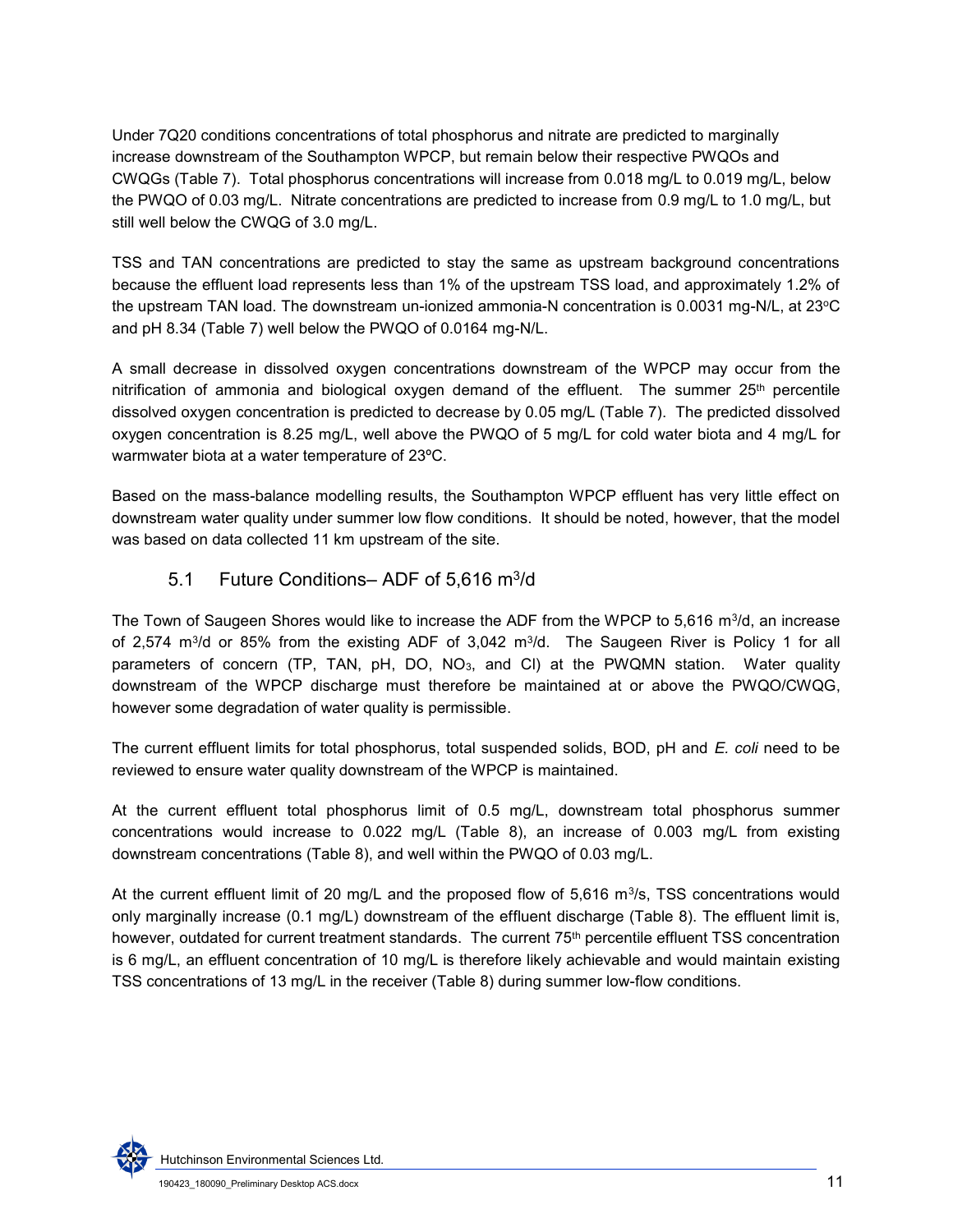Under 7Q20 conditions concentrations of total phosphorus and nitrate are predicted to marginally increase downstream of the Southampton WPCP, but remain below their respective PWQOs and CWQGs [\(Table 7\)](#page-12-0). Total phosphorus concentrations will increase from 0.018 mg/L to 0.019 mg/L, below the PWQO of 0.03 mg/L. Nitrate concentrations are predicted to increase from 0.9 mg/L to 1.0 mg/L, but still well below the CWQG of 3.0 mg/L.

TSS and TAN concentrations are predicted to stay the same as upstream background concentrations because the effluent load represents less than 1% of the upstream TSS load, and approximately 1.2% of the upstream TAN load. The downstream un-ionized ammonia-N concentration is 0.0031 mg-N/L, at 23°C and pH 8.34 (Table 7) well below the PWQO of 0.0164 mg-N/L.

A small decrease in dissolved oxygen concentrations downstream of the WPCP may occur from the nitrification of ammonia and biological oxygen demand of the effluent. The summer  $25<sup>th</sup>$  percentile dissolved oxygen concentration is predicted to decrease by 0.05 mg/L (Table 7). The predicted dissolved oxygen concentration is 8.25 mg/L, well above the PWQO of 5 mg/L for cold water biota and 4 mg/L for warmwater biota at a water temperature of 23ºC.

Based on the mass-balance modelling results, the Southampton WPCP effluent has very little effect on downstream water quality under summer low flow conditions. It should be noted, however, that the model was based on data collected 11 km upstream of the site.

#### 5.1 Future Conditions-ADF of 5,616 m<sup>3</sup>/d

The Town of Saugeen Shores would like to increase the ADF from the WPCP to 5,616 m $\rm{^{3}/d}$ , an increase of 2,574 m<sup>3</sup>/d or 85% from the existing ADF of 3,042 m<sup>3</sup>/d. The Saugeen River is Policy 1 for all parameters of concern (TP, TAN, pH, DO, NO3, and Cl) at the PWQMN station. Water quality downstream of the WPCP discharge must therefore be maintained at or above the PWQO/CWQG, however some degradation of water quality is permissible.

The current effluent limits for total phosphorus, total suspended solids, BOD, pH and *E. coli* need to be reviewed to ensure water quality downstream of the WPCP is maintained.

At the current effluent total phosphorus limit of 0.5 mg/L, downstream total phosphorus summer concentrations would increase to 0.022 mg/L (Table 8), an increase of 0.003 mg/L from existing downstream concentrations (Table 8), and well within the PWQO of 0.03 mg/L.

At the current effluent limit of 20 mg/L and the proposed flow of 5,616 m<sup>3</sup>/s, TSS concentrations would only marginally increase (0.1 mg/L) downstream of the effluent discharge (Table 8). The effluent limit is, however, outdated for current treatment standards. The current 75<sup>th</sup> percentile effluent TSS concentration is 6 mg/L, an effluent concentration of 10 mg/L is therefore likely achievable and would maintain existing TSS concentrations of 13 mg/L in the receiver (Table 8) during summer low-flow conditions.

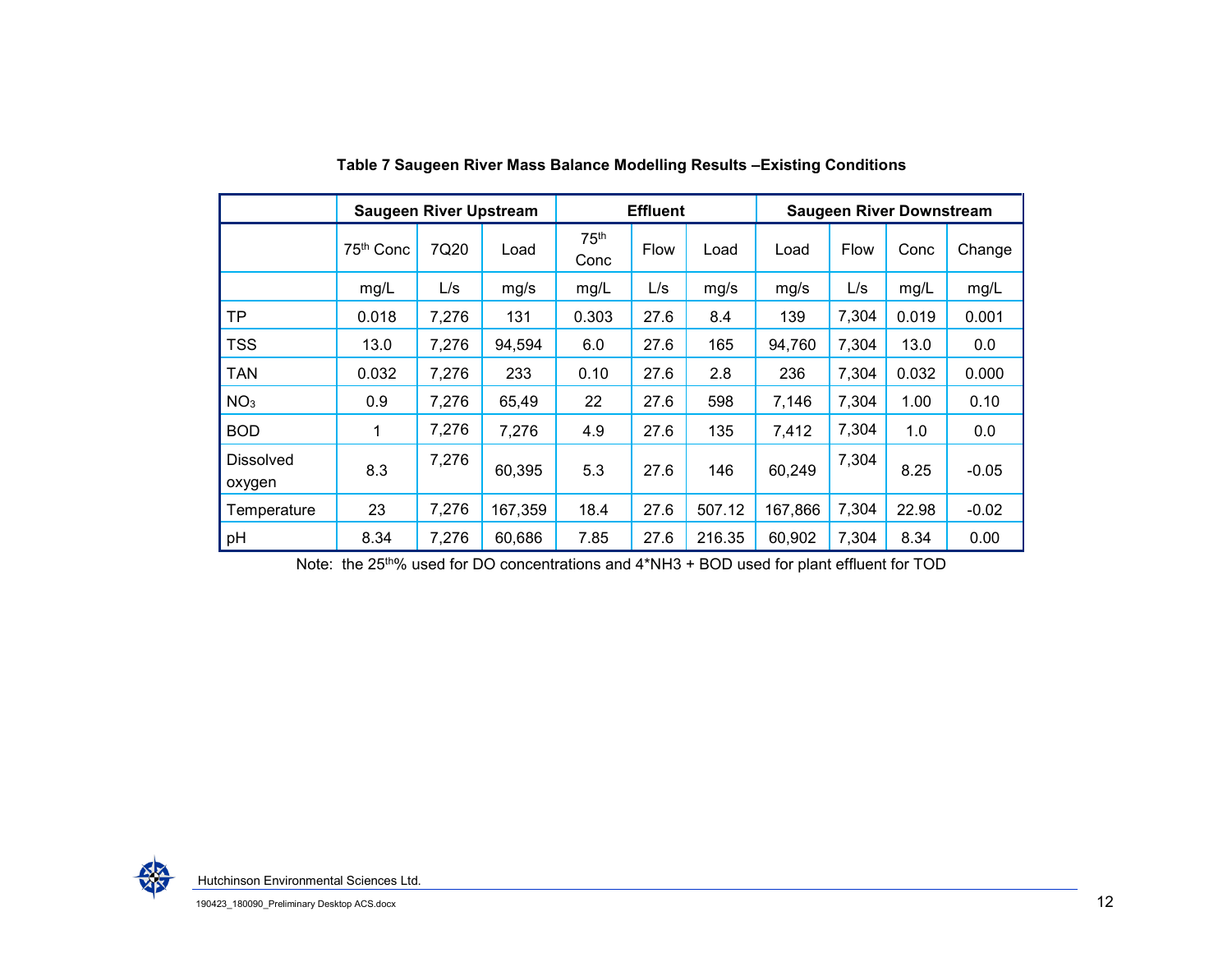|                            | <b>Saugeen River Upstream</b> |       |         | <b>Effluent</b>          |             | <b>Saugeen River Downstream</b> |         |             |       |         |
|----------------------------|-------------------------------|-------|---------|--------------------------|-------------|---------------------------------|---------|-------------|-------|---------|
|                            | 75th Conc                     | 7Q20  | Load    | 75 <sup>th</sup><br>Conc | <b>Flow</b> | Load                            | Load    | <b>Flow</b> | Conc  | Change  |
|                            | mg/L                          | L/s   | mg/s    | mg/L                     | L/s         | mg/s                            | mg/s    | L/s         | mg/L  | mg/L    |
| TP.                        | 0.018                         | 7,276 | 131     | 0.303                    | 27.6        | 8.4                             | 139     | 7,304       | 0.019 | 0.001   |
| <b>TSS</b>                 | 13.0                          | 7,276 | 94,594  | 6.0                      | 27.6        | 165                             | 94,760  | 7,304       | 13.0  | 0.0     |
| <b>TAN</b>                 | 0.032                         | 7,276 | 233     | 0.10                     | 27.6        | 2.8                             | 236     | 7,304       | 0.032 | 0.000   |
| NO <sub>3</sub>            | 0.9                           | 7,276 | 65,49   | 22                       | 27.6        | 598                             | 7,146   | 7,304       | 1.00  | 0.10    |
| <b>BOD</b>                 | 1                             | 7,276 | 7,276   | 4.9                      | 27.6        | 135                             | 7,412   | 7,304       | 1.0   | 0.0     |
| <b>Dissolved</b><br>oxygen | 8.3                           | 7,276 | 60,395  | 5.3                      | 27.6        | 146                             | 60,249  | 7,304       | 8.25  | $-0.05$ |
| Temperature                | 23                            | 7,276 | 167,359 | 18.4                     | 27.6        | 507.12                          | 167,866 | 7,304       | 22.98 | $-0.02$ |
| pH                         | 8.34                          | 7,276 | 60,686  | 7.85                     | 27.6        | 216.35                          | 60,902  | 7,304       | 8.34  | 0.00    |

**Table 7 Saugeen River Mass Balance Modelling Results –Existing Conditions** 

<span id="page-12-0"></span>Note: the 25th% used for DO concentrations and 4\*NH3 + BOD used for plant effluent for TOD

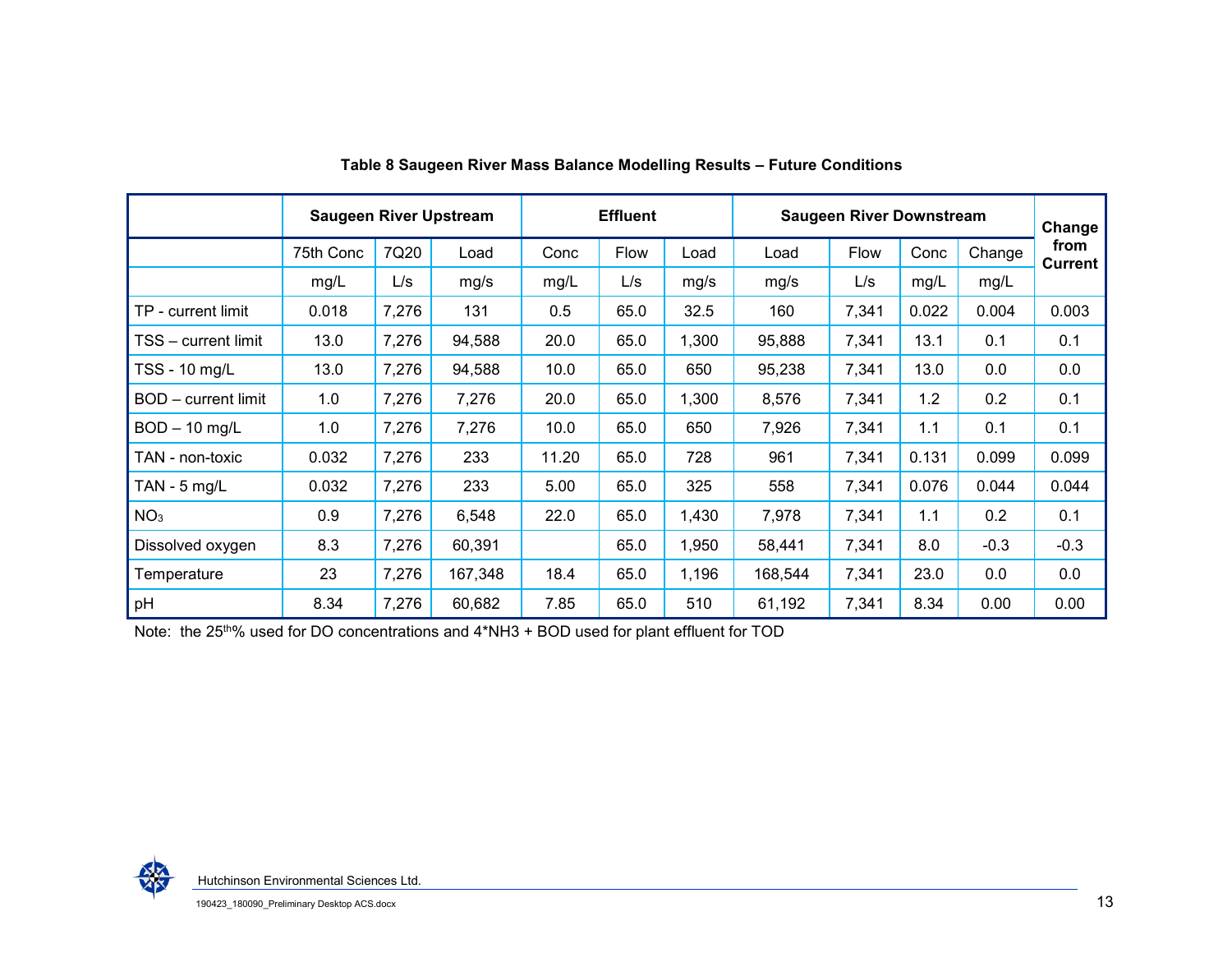|                     | <b>Saugeen River Upstream</b> |       |         | <b>Effluent</b> |      |       | <b>Saugeen River Downstream</b> | Change |       |        |                        |
|---------------------|-------------------------------|-------|---------|-----------------|------|-------|---------------------------------|--------|-------|--------|------------------------|
|                     | 75th Conc                     | 7Q20  | Load    | Conc            | Flow | Load  | Load                            | Flow   | Conc  | Change | from<br><b>Current</b> |
|                     | mg/L                          | L/s   | mg/s    | mg/L            | L/s  | mg/s  | mg/s                            | L/s    | mg/L  | mg/L   |                        |
| TP - current limit  | 0.018                         | 7,276 | 131     | 0.5             | 65.0 | 32.5  | 160                             | 7,341  | 0.022 | 0.004  | 0.003                  |
| TSS - current limit | 13.0                          | 7,276 | 94,588  | 20.0            | 65.0 | 1,300 | 95,888                          | 7,341  | 13.1  | 0.1    | 0.1                    |
| TSS - 10 mg/L       | 13.0                          | 7,276 | 94,588  | 10.0            | 65.0 | 650   | 95,238                          | 7,341  | 13.0  | 0.0    | 0.0                    |
| BOD - current limit | 1.0                           | 7,276 | 7,276   | 20.0            | 65.0 | 1,300 | 8,576                           | 7,341  | 1.2   | 0.2    | 0.1                    |
| $BOD - 10$ mg/L     | 1.0                           | 7,276 | 7,276   | 10.0            | 65.0 | 650   | 7,926                           | 7,341  | 1.1   | 0.1    | 0.1                    |
| TAN - non-toxic     | 0.032                         | 7,276 | 233     | 11.20           | 65.0 | 728   | 961                             | 7,341  | 0.131 | 0.099  | 0.099                  |
| TAN - $5$ mg/L      | 0.032                         | 7,276 | 233     | 5.00            | 65.0 | 325   | 558                             | 7,341  | 0.076 | 0.044  | 0.044                  |
| NO <sub>3</sub>     | 0.9                           | 7,276 | 6,548   | 22.0            | 65.0 | 1,430 | 7,978                           | 7,341  | 1.1   | 0.2    | 0.1                    |
| Dissolved oxygen    | 8.3                           | 7,276 | 60,391  |                 | 65.0 | 1,950 | 58,441                          | 7,341  | 8.0   | $-0.3$ | $-0.3$                 |
| Temperature         | 23                            | 7,276 | 167,348 | 18.4            | 65.0 | 1,196 | 168,544                         | 7,341  | 23.0  | 0.0    | 0.0                    |
| pH                  | 8.34                          | 7,276 | 60,682  | 7.85            | 65.0 | 510   | 61,192                          | 7,341  | 8.34  | 0.00   | 0.00                   |

**Table 8 Saugeen River Mass Balance Modelling Results – Future Conditions** 

Note: the 25<sup>th%</sup> used for DO concentrations and 4\*NH3 + BOD used for plant effluent for TOD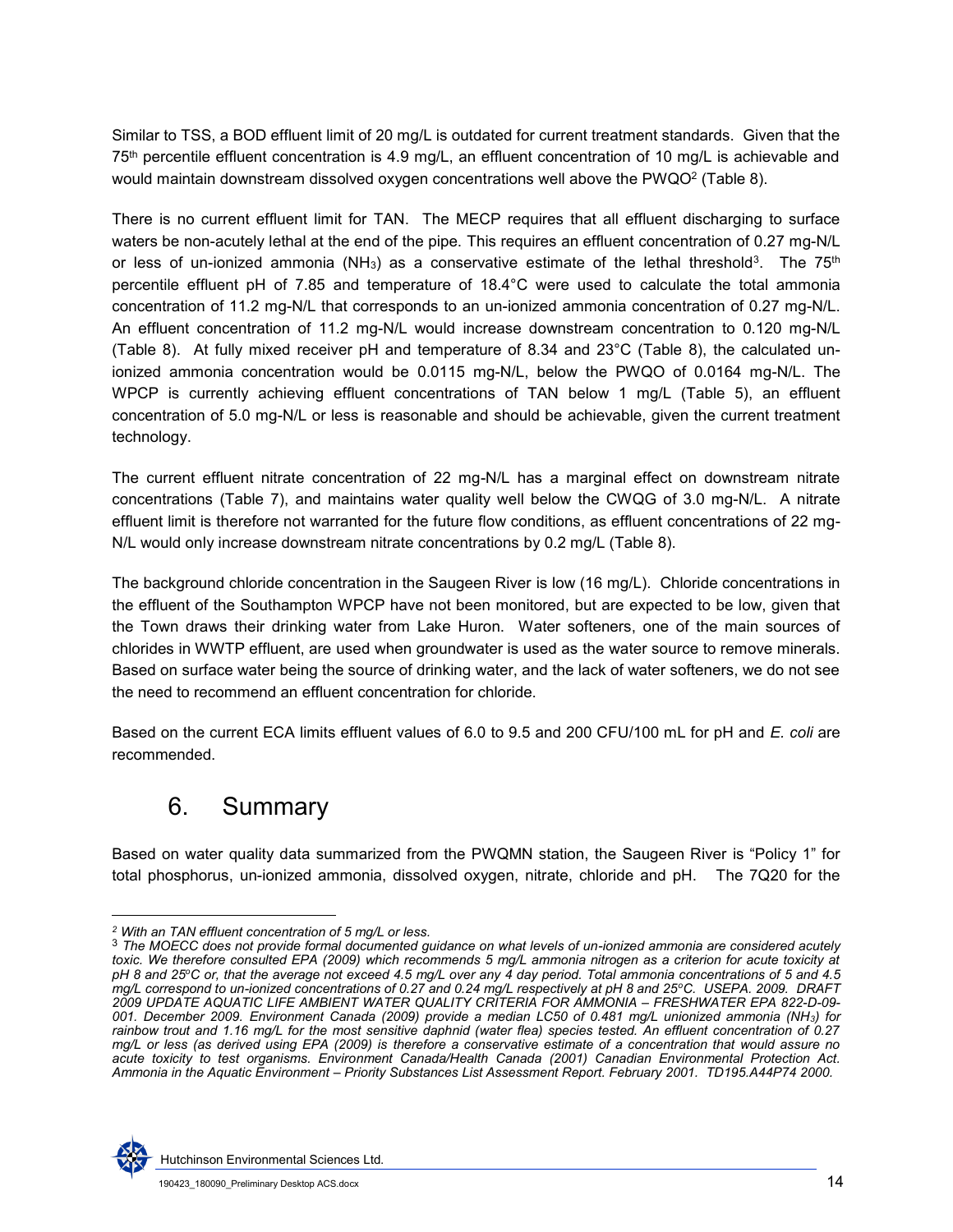Similar to TSS, a BOD effluent limit of 20 mg/L is outdated for current treatment standards. Given that the 75th percentile effluent concentration is 4.9 mg/L, an effluent concentration of 10 mg/L is achievable and would maintain downstream dissolved oxygen concentrations well above the PWQO $^2$  (Table 8).

There is no current effluent limit for TAN. The MECP requires that all effluent discharging to surface waters be non-acutely lethal at the end of the pipe. This requires an effluent concentration of 0.27 mg-N/L or less of un-ionized ammonia (NH $_3)$  as a conservative estimate of the lethal threshold $^3$ . The 75th percentile effluent pH of 7.85 and temperature of 18.4°C were used to calculate the total ammonia concentration of 11.2 mg-N/L that corresponds to an un-ionized ammonia concentration of 0.27 mg-N/L. An effluent concentration of 11.2 mg-N/L would increase downstream concentration to 0.120 mg-N/L (Table 8). At fully mixed receiver pH and temperature of 8.34 and 23°C (Table 8), the calculated unionized ammonia concentration would be 0.0115 mg-N/L, below the PWQO of 0.0164 mg-N/L. The WPCP is currently achieving effluent concentrations of TAN below 1 mg/L (Table 5), an effluent concentration of 5.0 mg-N/L or less is reasonable and should be achievable, given the current treatment technology.

The current effluent nitrate concentration of 22 mg-N/L has a marginal effect on downstream nitrate concentrations [\(Table 7\)](#page-12-0), and maintains water quality well below the CWQG of 3.0 mg-N/L. A nitrate effluent limit is therefore not warranted for the future flow conditions, as effluent concentrations of 22 mg-N/L would only increase downstream nitrate concentrations by 0.2 mg/L (Table 8).

The background chloride concentration in the Saugeen River is low (16 mg/L). Chloride concentrations in the effluent of the Southampton WPCP have not been monitored, but are expected to be low, given that the Town draws their drinking water from Lake Huron. Water softeners, one of the main sources of chlorides in WWTP effluent, are used when groundwater is used as the water source to remove minerals. Based on surface water being the source of drinking water, and the lack of water softeners, we do not see the need to recommend an effluent concentration for chloride.

Based on the current ECA limits effluent values of 6.0 to 9.5 and 200 CFU/100 mL for pH and *E. coli* are recommended.

### 6. Summary

Based on water quality data summarized from the PWQMN station, the Saugeen River is "Policy 1" for total phosphorus, un-ionized ammonia, dissolved oxygen, nitrate, chloride and pH. The 7Q20 for the

<sup>3</sup> *The MOECC does not provide formal documented guidance on what levels of un-ionized ammonia are considered acutely toxic. We therefore consulted EPA (2009) which recommends 5 mg/L ammonia nitrogen as a criterion for acute toxicity at pH 8 and 25<sup>o</sup>C or, that the average not exceed 4.5 mg/L over any 4 day period. Total ammonia concentrations of 5 and 4.5 mg/L correspond to un-ionized concentrations of 0.27 and 0.24 mg/L respectively at pH 8 and 25<sup>o</sup>C. USEPA. 2009. DRAFT 2009 UPDATE AQUATIC LIFE AMBIENT WATER QUALITY CRITERIA FOR AMMONIA – FRESHWATER EPA 822-D-09- 001. December 2009. Environment Canada (2009) provide a median LC50 of 0.481 mg/L unionized ammonia (NH3) for rainbow trout and 1.16 mg/L for the most sensitive daphnid (water flea) species tested. An effluent concentration of 0.27 mg/L or less (as derived using EPA (2009) is therefore a conservative estimate of a concentration that would assure no acute toxicity to test organisms. Environment Canada/Health Canada (2001) Canadian Environmental Protection Act. Ammonia in the Aquatic Environment – Priority Substances List Assessment Report. February 2001. TD195.A44P74 2000.*



l

*<sup>2</sup> With an TAN effluent concentration of 5 mg/L or less.* 

Hutchinson Environmental Sciences Ltd.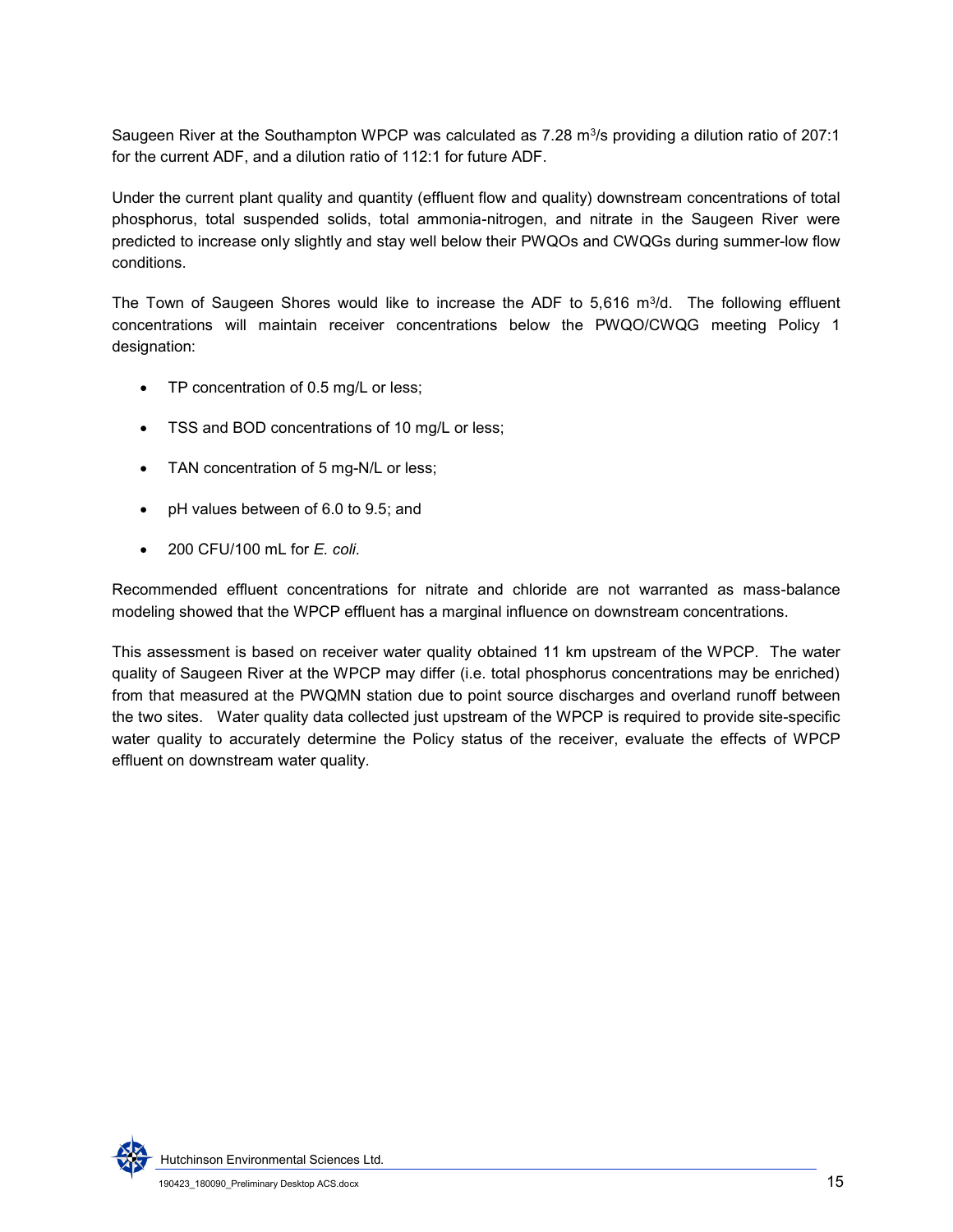Saugeen River at the Southampton WPCP was calculated as 7.28 m $\frac{3}{s}$  providing a dilution ratio of 207:1 for the current ADF, and a dilution ratio of 112:1 for future ADF.

Under the current plant quality and quantity (effluent flow and quality) downstream concentrations of total phosphorus, total suspended solids, total ammonia-nitrogen, and nitrate in the Saugeen River were predicted to increase only slightly and stay well below their PWQOs and CWQGs during summer-low flow conditions.

The Town of Saugeen Shores would like to increase the ADF to  $5,616$  m $\frac{3}{d}$ . The following effluent concentrations will maintain receiver concentrations below the PWQO/CWQG meeting Policy 1 designation:

- TP concentration of 0.5 mg/L or less;
- TSS and BOD concentrations of 10 mg/L or less;
- TAN concentration of 5 mg-N/L or less;
- pH values between of 6.0 to 9.5; and
- 200 CFU/100 mL for *E. coli.*

Recommended effluent concentrations for nitrate and chloride are not warranted as mass-balance modeling showed that the WPCP effluent has a marginal influence on downstream concentrations.

This assessment is based on receiver water quality obtained 11 km upstream of the WPCP. The water quality of Saugeen River at the WPCP may differ (i.e. total phosphorus concentrations may be enriched) from that measured at the PWQMN station due to point source discharges and overland runoff between the two sites. Water quality data collected just upstream of the WPCP is required to provide site-specific water quality to accurately determine the Policy status of the receiver, evaluate the effects of WPCP effluent on downstream water quality.